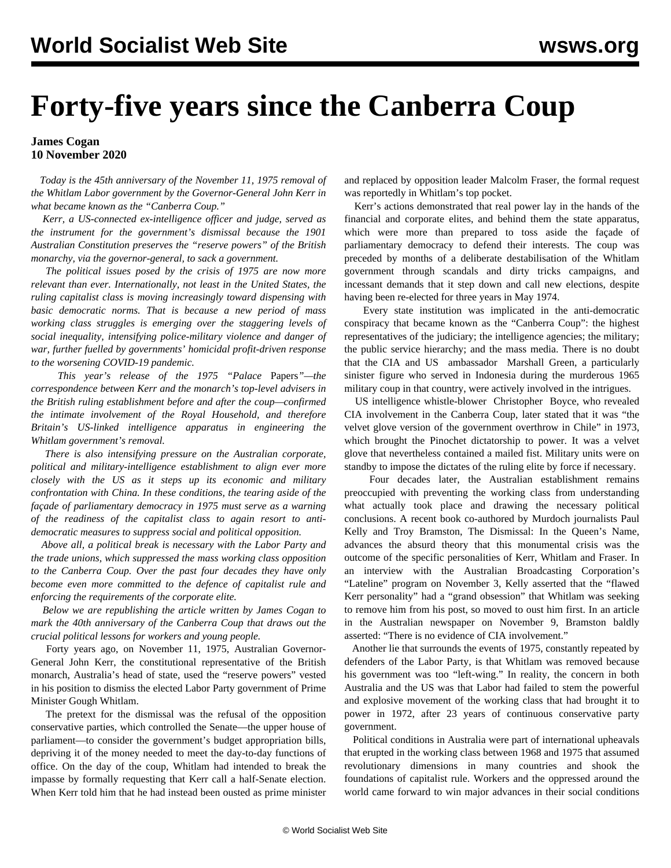## **Forty-five years since the Canberra Coup**

## **James Cogan 10 November 2020**

 *Today is the 45th anniversary of the November 11, 1975 removal of the Whitlam Labor government by the Governor-General John Kerr in what became known as the "Canberra Coup."*

 *Kerr, a US-connected ex-intelligence officer and judge, served as the instrument for the government's dismissal because the 1901 Australian Constitution preserves the "reserve powers" of the British monarchy, via the governor-general, to sack a government.*

 *The political issues posed by the crisis of 1975 are now more relevant than ever. Internationally, not least in the United States, the ruling capitalist class is moving increasingly toward dispensing with basic democratic norms. That is because a new period of mass working class struggles is emerging over the staggering levels of social inequality, intensifying police-military violence and danger of war, further fuelled by governments' homicidal profit-driven response to the worsening COVID-19 pandemic.*

 *This year's release of the 1975 ["Palace](/en/articles/2020/07/17/kerr-j17.html)* [Papers](/en/articles/2020/07/17/kerr-j17.html)*"—the correspondence between Kerr and the monarch's top-level advisers in the British ruling establishment before and after the coup—confirmed the intimate involvement of the Royal Household, and therefore Britain's US-linked intelligence apparatus in engineering the Whitlam government's removal.*

 *There is also intensifying pressure on the Australian corporate, political and military-intelligence establishment to align ever more closely with the US as it steps up its economic and military confrontation with China. In these conditions, the tearing aside of the façade of parliamentary democracy in 1975 must serve as a warning of the readiness of the capitalist class to again resort to antidemocratic measures to suppress social and political opposition.*

 *Above all, a political break is necessary with the Labor Party and the trade unions, which suppressed the mass working class opposition to the Canberra Coup. Over the past four decades they have only become even more committed to the defence of capitalist rule and enforcing the requirements of the corporate elite.*

 *Below we are republishing the article written by James Cogan to mark the 40th anniversary of the Canberra Coup that draws out the crucial political lessons for workers and young people.*

 Forty years ago, on November 11, 1975, Australian Governor-General John Kerr, the constitutional representative of the British monarch, Australia's head of state, used the "reserve powers" vested in his position to dismiss the elected Labor Party government of Prime Minister Gough Whitlam.

 The pretext for the dismissal was the refusal of the opposition conservative parties, which controlled the Senate—the upper house of parliament—to consider the government's budget appropriation bills, depriving it of the money needed to meet the day-to-day functions of office. On the day of the coup, Whitlam had intended to break the impasse by formally requesting that Kerr call a half-Senate election. When Kerr told him that he had instead been ousted as prime minister and replaced by opposition leader Malcolm Fraser, the formal request was reportedly in Whitlam's top pocket.

 Kerr's actions demonstrated that real power lay in the hands of the financial and corporate elites, and behind them the state apparatus, which were more than prepared to toss aside the façade of parliamentary democracy to defend their interests. The coup was preceded by months of a deliberate destabilisation of the Whitlam government through scandals and dirty tricks campaigns, and incessant demands that it step down and call new elections, despite having been re-elected for three years in May 1974.

 Every state institution was implicated in the anti-democratic conspiracy that became known as the "Canberra Coup": the highest representatives of the judiciary; the intelligence agencies; the military; the public service hierarchy; and the mass media. There is no doubt that the CIA and [US ambassador](/en/articles/1998/06/gren-j26.html) Marshall Green, a particularly sinister figure who served in Indonesia during the murderous 1965 military coup in that country, were actively involved in the intrigues.

 US intelligence whistle-blower [Christopher Boyce](/en/articles/2014/03/24/boyc-m24.html), who revealed CIA involvement in the Canberra Coup, later stated that it was "the velvet glove version of the government overthrow in Chile" in 1973, which brought the Pinochet dictatorship to power. It was a velvet glove that nevertheless contained a mailed fist. Military units were on standby to impose the dictates of the ruling elite by force if necessary.

 Four decades later, the Australian establishment remains preoccupied with preventing the working class from understanding what actually took place and drawing the necessary political conclusions. A recent book co-authored by Murdoch journalists Paul Kelly and Troy Bramston, The Dismissal: In the Queen's Name, advances the absurd theory that this monumental crisis was the outcome of the specific personalities of Kerr, Whitlam and Fraser. In an interview with the Australian Broadcasting Corporation's "Lateline" program on November 3, Kelly asserted that the "flawed Kerr personality" had a "grand obsession" that Whitlam was seeking to remove him from his post, so moved to oust him first. In an article in the Australian newspaper on November 9, Bramston baldly asserted: "There is no evidence of CIA involvement."

 Another lie that surrounds the events of 1975, constantly repeated by defenders of the Labor Party, is that Whitlam was removed because his government was too "left-wing." In reality, the concern in both Australia and the US was that Labor had failed to stem the powerful and explosive movement of the working class that had brought it to power in 1972, after 23 years of continuous conservative party government.

 Political conditions in Australia were part of international upheavals that erupted in the working class between 1968 and 1975 that assumed revolutionary dimensions in many countries and shook the foundations of capitalist rule. Workers and the oppressed around the world came forward to win major advances in their social conditions